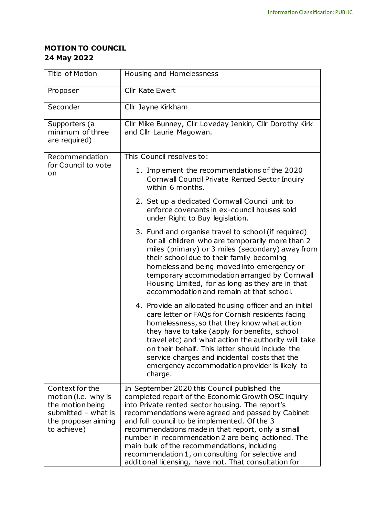## **MOTION TO COUNCIL 24 May 2022**

| Title of Motion                                                                                                           | Housing and Homelessness                                                                                                                                                                                                                                                                                                                                                                                                                                                                                                             |
|---------------------------------------------------------------------------------------------------------------------------|--------------------------------------------------------------------------------------------------------------------------------------------------------------------------------------------------------------------------------------------------------------------------------------------------------------------------------------------------------------------------------------------------------------------------------------------------------------------------------------------------------------------------------------|
| Proposer                                                                                                                  | Cllr Kate Ewert                                                                                                                                                                                                                                                                                                                                                                                                                                                                                                                      |
| Seconder                                                                                                                  | Cllr Jayne Kirkham                                                                                                                                                                                                                                                                                                                                                                                                                                                                                                                   |
| Supporters (a<br>minimum of three<br>are required)                                                                        | Cllr Mike Bunney, Cllr Loveday Jenkin, Cllr Dorothy Kirk<br>and Cllr Laurie Magowan.                                                                                                                                                                                                                                                                                                                                                                                                                                                 |
| Recommendation<br>for Council to vote<br>on                                                                               | This Council resolves to:                                                                                                                                                                                                                                                                                                                                                                                                                                                                                                            |
|                                                                                                                           | 1. Implement the recommendations of the 2020<br>Cornwall Council Private Rented Sector Inquiry<br>within 6 months.                                                                                                                                                                                                                                                                                                                                                                                                                   |
|                                                                                                                           | 2. Set up a dedicated Cornwall Council unit to<br>enforce covenants in ex-council houses sold<br>under Right to Buy legislation.                                                                                                                                                                                                                                                                                                                                                                                                     |
|                                                                                                                           | 3. Fund and organise travel to school (if required)<br>for all children who are temporarily more than 2<br>miles (primary) or 3 miles (secondary) away from<br>their school due to their family becoming<br>homeless and being moved into emergency or<br>temporary accommodation arranged by Cornwall<br>Housing Limited, for as long as they are in that<br>accommodation and remain at that school.                                                                                                                               |
|                                                                                                                           | 4. Provide an allocated housing officer and an initial<br>care letter or FAQs for Cornish residents facing<br>homelessness, so that they know what action<br>they have to take (apply for benefits, school<br>travel etc) and what action the authority will take<br>on their behalf. This letter should include the<br>service charges and incidental costs that the<br>emergency accommodation provider is likely to<br>charge.                                                                                                    |
| Context for the<br>motion (i.e. why is<br>the motion being<br>submitted $-$ what is<br>the proposer aiming<br>to achieve) | In September 2020 this Council published the<br>completed report of the Economic Growth OSC inquiry<br>into Private rented sector housing. The report's<br>recommendations were agreed and passed by Cabinet<br>and full council to be implemented. Of the 3<br>recommendations made in that report, only a small<br>number in recommendation 2 are being actioned. The<br>main bulk of the recommendations, including<br>recommendation 1, on consulting for selective and<br>additional licensing, have not. That consultation for |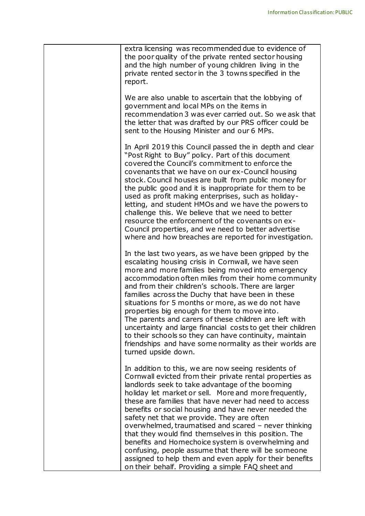| extra licensing was recommended due to evidence of<br>the poor quality of the private rented sector housing<br>and the high number of young children living in the<br>private rented sector in the 3 towns specified in the<br>report.                                                                                                                                                                                                                                                                                                                                                                                                                                                                                                   |
|------------------------------------------------------------------------------------------------------------------------------------------------------------------------------------------------------------------------------------------------------------------------------------------------------------------------------------------------------------------------------------------------------------------------------------------------------------------------------------------------------------------------------------------------------------------------------------------------------------------------------------------------------------------------------------------------------------------------------------------|
| We are also unable to ascertain that the lobbying of<br>government and local MPs on the items in<br>recommendation 3 was ever carried out. So we ask that<br>the letter that was drafted by our PRS officer could be<br>sent to the Housing Minister and our 6 MPs.                                                                                                                                                                                                                                                                                                                                                                                                                                                                      |
| In April 2019 this Council passed the in depth and clear<br>"Post Right to Buy" policy. Part of this document<br>covered the Council's commitment to enforce the<br>covenants that we have on our ex-Council housing<br>stock. Council houses are built from public money for<br>the public good and it is inappropriate for them to be<br>used as profit making enterprises, such as holiday-<br>letting, and student HMOs and we have the powers to<br>challenge this. We believe that we need to better<br>resource the enforcement of the covenants on ex-<br>Council properties, and we need to better advertise<br>where and how breaches are reported for investigation.                                                          |
| In the last two years, as we have been gripped by the<br>escalating housing crisis in Cornwall, we have seen<br>more and more families being moved into emergency<br>accommodation often miles from their home community<br>and from their children's schools. There are larger<br>families across the Duchy that have been in these<br>situations for 5 months or more, as we do not have<br>properties big enough for them to move into.<br>The parents and carers of these children are left with<br>uncertainty and large financial costs to get their children<br>to their schools so they can have continuity, maintain<br>friendships and have some normality as their worlds are<br>turned upside down.                          |
| In addition to this, we are now seeing residents of<br>Cornwall evicted from their private rental properties as<br>landlords seek to take advantage of the booming<br>holiday let market or sell. More and more frequently,<br>these are families that have never had need to access<br>benefits or social housing and have never needed the<br>safety net that we provide. They are often<br>overwhelmed, traumatised and scared - never thinking<br>that they would find themselves in this position. The<br>benefits and Homechoice system is overwhelming and<br>confusing, people assume that there will be someone<br>assigned to help them and even apply for their benefits<br>on their behalf. Providing a simple FAQ sheet and |